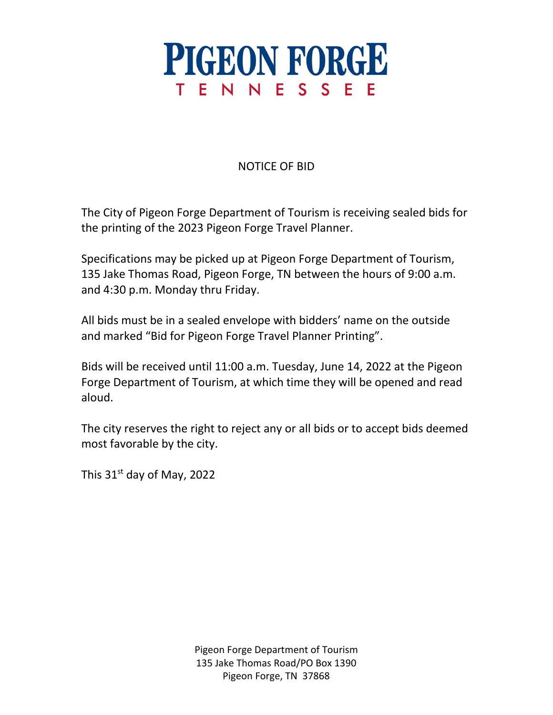

## NOTICE OF BID

The City of Pigeon Forge Department of Tourism is receiving sealed bids for the printing of the 2023 Pigeon Forge Travel Planner.

Specifications may be picked up at Pigeon Forge Department of Tourism, 135 Jake Thomas Road, Pigeon Forge, TN between the hours of 9:00 a.m. and 4:30 p.m. Monday thru Friday.

All bids must be in a sealed envelope with bidders' name on the outside and marked "Bid for Pigeon Forge Travel Planner Printing".

Bids will be received until 11:00 a.m. Tuesday, June 14, 2022 at the Pigeon Forge Department of Tourism, at which time they will be opened and read aloud.

The city reserves the right to reject any or all bids or to accept bids deemed most favorable by the city.

This  $31<sup>st</sup>$  day of May, 2022